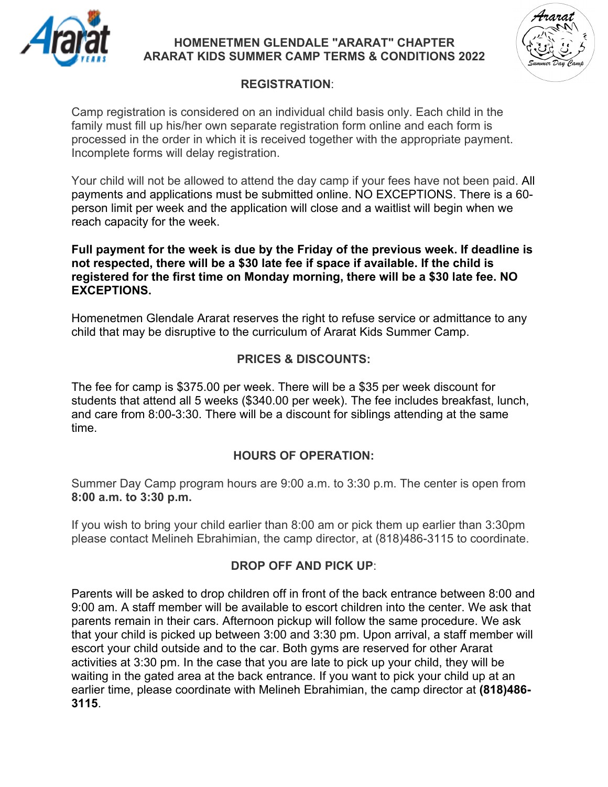

#### **HOMENETMEN GLENDALE "ARARAT" CHAPTER ARARAT KIDS SUMMER CAMP TERMS & CONDITIONS 2022**



## **REGISTRATION**:

Camp registration is considered on an individual child basis only. Each child in the family must fill up his/her own separate registration form online and each form is processed in the order in which it is received together with the appropriate payment. Incomplete forms will delay registration.

Your child will not be allowed to attend the day camp if your fees have not been paid. All payments and applications must be submitted online. NO EXCEPTIONS. There is a 60 person limit per week and the application will close and a waitlist will begin when we reach capacity for the week.

**Full payment for the week is due by the Friday of the previous week. If deadline is not respected, there will be a \$30 late fee if space if available. If the child is registered for the first time on Monday morning, there will be a \$30 late fee. NO EXCEPTIONS.** 

Homenetmen Glendale Ararat reserves the right to refuse service or admittance to any child that may be disruptive to the curriculum of Ararat Kids Summer Camp.

## **PRICES & DISCOUNTS:**

The fee for camp is \$375.00 per week. There will be a \$35 per week discount for students that attend all 5 weeks (\$340.00 per week). The fee includes breakfast, lunch, and care from 8:00-3:30. There will be a discount for siblings attending at the same time.

### **HOURS OF OPERATION:**

Summer Day Camp program hours are 9:00 a.m. to 3:30 p.m. The center is open from **8:00 a.m. to 3:30 p.m.**

If you wish to bring your child earlier than 8:00 am or pick them up earlier than 3:30pm please contact Melineh Ebrahimian, the camp director, at (818)486-3115 to coordinate.

### **DROP OFF AND PICK UP**:

Parents will be asked to drop children off in front of the back entrance between 8:00 and 9:00 am. A staff member will be available to escort children into the center. We ask that parents remain in their cars. Afternoon pickup will follow the same procedure. We ask that your child is picked up between 3:00 and 3:30 pm. Upon arrival, a staff member will escort your child outside and to the car. Both gyms are reserved for other Ararat activities at 3:30 pm. In the case that you are late to pick up your child, they will be waiting in the gated area at the back entrance. If you want to pick your child up at an earlier time, please coordinate with Melineh Ebrahimian, the camp director at **(818)486- 3115**.